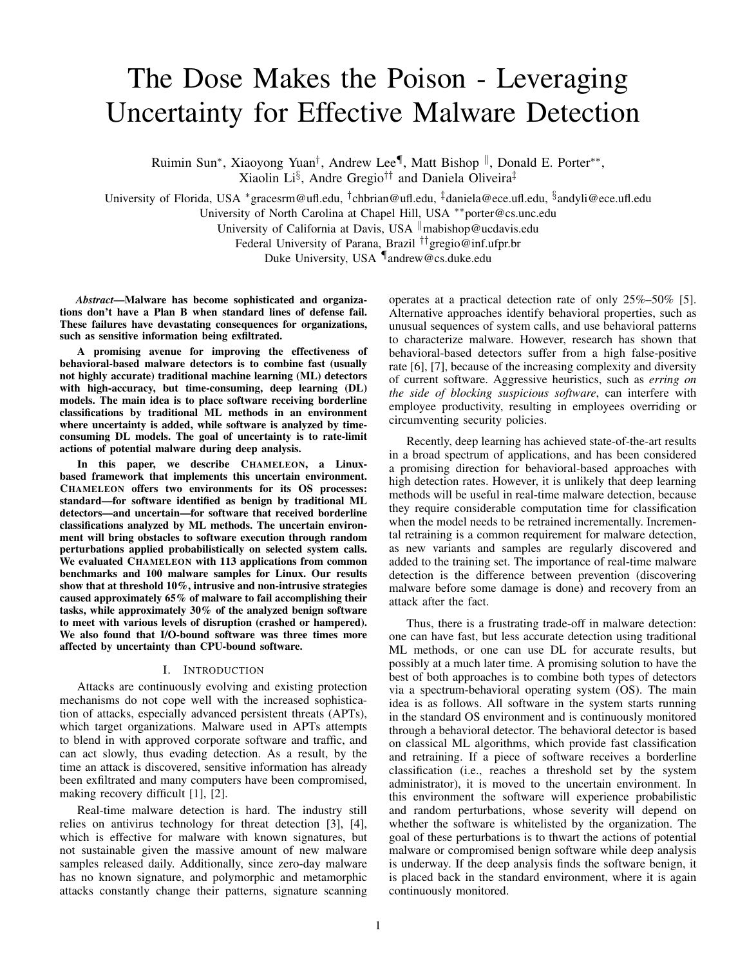# The Dose Makes the Poison - Leveraging Uncertainty for Effective Malware Detection

Ruimin Sun\*, Xiaoyong Yuan<sup>†</sup>, Andrew Lee¶, Matt Bishop <sup>||</sup>, Donald E. Porter<sup>\*\*</sup>, Xiaolin Li§ , Andre Gregio†† and Daniela Oliveira‡

University of Florida, USA \*gracesrm@ufl.edu, <sup>†</sup>chbrian@ufl.edu, <sup>‡</sup>daniela@ece.ufl.edu, <sup>§</sup>andyli@ece.ufl.edu

University of North Carolina at Chapel Hill, USA \*\*porter@cs.unc.edu

University of California at Davis, USA  $\|$ mabishop@ucdavis.edu

Federal University of Parana, Brazil ††gregio@inf.ufpr.br

Duke University, USA ¶andrew@cs.duke.edu

*Abstract*—Malware has become sophisticated and organizations don't have a Plan B when standard lines of defense fail. These failures have devastating consequences for organizations, such as sensitive information being exfiltrated.

A promising avenue for improving the effectiveness of behavioral-based malware detectors is to combine fast (usually not highly accurate) traditional machine learning (ML) detectors with high-accuracy, but time-consuming, deep learning (DL) models. The main idea is to place software receiving borderline classifications by traditional ML methods in an environment where uncertainty is added, while software is analyzed by timeconsuming DL models. The goal of uncertainty is to rate-limit actions of potential malware during deep analysis.

In this paper, we describe CHAMELEON, a Linuxbased framework that implements this uncertain environment. CHAMELEON offers two environments for its OS processes: standard—for software identified as benign by traditional ML detectors—and uncertain—for software that received borderline classifications analyzed by ML methods. The uncertain environment will bring obstacles to software execution through random perturbations applied probabilistically on selected system calls. We evaluated CHAMELEON with 113 applications from common benchmarks and 100 malware samples for Linux. Our results show that at threshold 10%, intrusive and non-intrusive strategies caused approximately 65% of malware to fail accomplishing their tasks, while approximately 30% of the analyzed benign software to meet with various levels of disruption (crashed or hampered). We also found that I/O-bound software was three times more affected by uncertainty than CPU-bound software.

#### I. INTRODUCTION

Attacks are continuously evolving and existing protection mechanisms do not cope well with the increased sophistication of attacks, especially advanced persistent threats (APTs), which target organizations. Malware used in APTs attempts to blend in with approved corporate software and traffic, and can act slowly, thus evading detection. As a result, by the time an attack is discovered, sensitive information has already been exfiltrated and many computers have been compromised, making recovery difficult [1], [2].

Real-time malware detection is hard. The industry still relies on antivirus technology for threat detection [3], [4], which is effective for malware with known signatures, but not sustainable given the massive amount of new malware samples released daily. Additionally, since zero-day malware has no known signature, and polymorphic and metamorphic attacks constantly change their patterns, signature scanning operates at a practical detection rate of only 25%–50% [5]. Alternative approaches identify behavioral properties, such as unusual sequences of system calls, and use behavioral patterns to characterize malware. However, research has shown that behavioral-based detectors suffer from a high false-positive rate [6], [7], because of the increasing complexity and diversity of current software. Aggressive heuristics, such as *erring on the side of blocking suspicious software*, can interfere with employee productivity, resulting in employees overriding or circumventing security policies.

Recently, deep learning has achieved state-of-the-art results in a broad spectrum of applications, and has been considered a promising direction for behavioral-based approaches with high detection rates. However, it is unlikely that deep learning methods will be useful in real-time malware detection, because they require considerable computation time for classification when the model needs to be retrained incrementally. Incremental retraining is a common requirement for malware detection, as new variants and samples are regularly discovered and added to the training set. The importance of real-time malware detection is the difference between prevention (discovering malware before some damage is done) and recovery from an attack after the fact.

Thus, there is a frustrating trade-off in malware detection: one can have fast, but less accurate detection using traditional ML methods, or one can use DL for accurate results, but possibly at a much later time. A promising solution to have the best of both approaches is to combine both types of detectors via a spectrum-behavioral operating system (OS). The main idea is as follows. All software in the system starts running in the standard OS environment and is continuously monitored through a behavioral detector. The behavioral detector is based on classical ML algorithms, which provide fast classification and retraining. If a piece of software receives a borderline classification (i.e., reaches a threshold set by the system administrator), it is moved to the uncertain environment. In this environment the software will experience probabilistic and random perturbations, whose severity will depend on whether the software is whitelisted by the organization. The goal of these perturbations is to thwart the actions of potential malware or compromised benign software while deep analysis is underway. If the deep analysis finds the software benign, it is placed back in the standard environment, where it is again continuously monitored.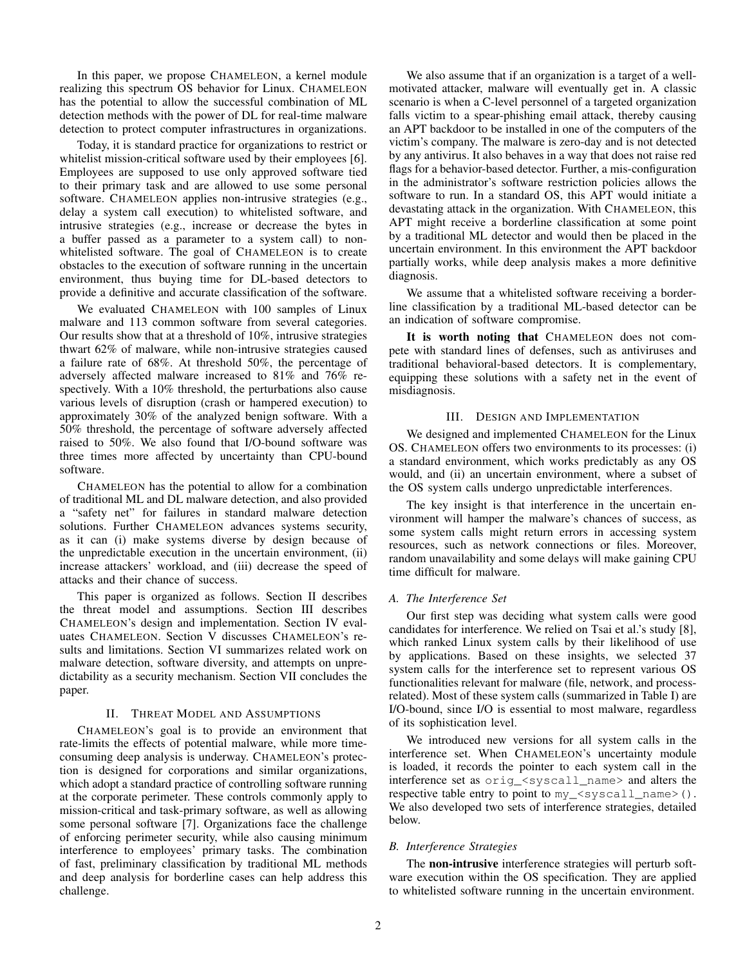In this paper, we propose CHAMELEON, a kernel module realizing this spectrum OS behavior for Linux. CHAMELEON has the potential to allow the successful combination of ML detection methods with the power of DL for real-time malware detection to protect computer infrastructures in organizations.

Today, it is standard practice for organizations to restrict or whitelist mission-critical software used by their employees [6]. Employees are supposed to use only approved software tied to their primary task and are allowed to use some personal software. CHAMELEON applies non-intrusive strategies (e.g., delay a system call execution) to whitelisted software, and intrusive strategies (e.g., increase or decrease the bytes in a buffer passed as a parameter to a system call) to nonwhitelisted software. The goal of CHAMELEON is to create obstacles to the execution of software running in the uncertain environment, thus buying time for DL-based detectors to provide a definitive and accurate classification of the software.

We evaluated CHAMELEON with 100 samples of Linux malware and 113 common software from several categories. Our results show that at a threshold of 10%, intrusive strategies thwart 62% of malware, while non-intrusive strategies caused a failure rate of 68%. At threshold 50%, the percentage of adversely affected malware increased to 81% and 76% respectively. With a 10% threshold, the perturbations also cause various levels of disruption (crash or hampered execution) to approximately 30% of the analyzed benign software. With a 50% threshold, the percentage of software adversely affected raised to 50%. We also found that I/O-bound software was three times more affected by uncertainty than CPU-bound software.

CHAMELEON has the potential to allow for a combination of traditional ML and DL malware detection, and also provided a "safety net" for failures in standard malware detection solutions. Further CHAMELEON advances systems security, as it can (i) make systems diverse by design because of the unpredictable execution in the uncertain environment, (ii) increase attackers' workload, and (iii) decrease the speed of attacks and their chance of success.

This paper is organized as follows. Section II describes the threat model and assumptions. Section III describes CHAMELEON's design and implementation. Section IV evaluates CHAMELEON. Section V discusses CHAMELEON's results and limitations. Section VI summarizes related work on malware detection, software diversity, and attempts on unpredictability as a security mechanism. Section VII concludes the paper.

#### II. THREAT MODEL AND ASSUMPTIONS

CHAMELEON's goal is to provide an environment that rate-limits the effects of potential malware, while more timeconsuming deep analysis is underway. CHAMELEON's protection is designed for corporations and similar organizations, which adopt a standard practice of controlling software running at the corporate perimeter. These controls commonly apply to mission-critical and task-primary software, as well as allowing some personal software [7]. Organizations face the challenge of enforcing perimeter security, while also causing minimum interference to employees' primary tasks. The combination of fast, preliminary classification by traditional ML methods and deep analysis for borderline cases can help address this challenge.

We also assume that if an organization is a target of a wellmotivated attacker, malware will eventually get in. A classic scenario is when a C-level personnel of a targeted organization falls victim to a spear-phishing email attack, thereby causing an APT backdoor to be installed in one of the computers of the victim's company. The malware is zero-day and is not detected by any antivirus. It also behaves in a way that does not raise red flags for a behavior-based detector. Further, a mis-configuration in the administrator's software restriction policies allows the software to run. In a standard OS, this APT would initiate a devastating attack in the organization. With CHAMELEON, this APT might receive a borderline classification at some point by a traditional ML detector and would then be placed in the uncertain environment. In this environment the APT backdoor partially works, while deep analysis makes a more definitive diagnosis.

We assume that a whitelisted software receiving a borderline classification by a traditional ML-based detector can be an indication of software compromise.

It is worth noting that CHAMELEON does not compete with standard lines of defenses, such as antiviruses and traditional behavioral-based detectors. It is complementary, equipping these solutions with a safety net in the event of misdiagnosis.

## III. DESIGN AND IMPLEMENTATION

We designed and implemented CHAMELEON for the Linux OS. CHAMELEON offers two environments to its processes: (i) a standard environment, which works predictably as any OS would, and (ii) an uncertain environment, where a subset of the OS system calls undergo unpredictable interferences.

The key insight is that interference in the uncertain environment will hamper the malware's chances of success, as some system calls might return errors in accessing system resources, such as network connections or files. Moreover, random unavailability and some delays will make gaining CPU time difficult for malware.

# *A. The Interference Set*

Our first step was deciding what system calls were good candidates for interference. We relied on Tsai et al.'s study [8], which ranked Linux system calls by their likelihood of use by applications. Based on these insights, we selected 37 system calls for the interference set to represent various OS functionalities relevant for malware (file, network, and processrelated). Most of these system calls (summarized in Table I) are I/O-bound, since I/O is essential to most malware, regardless of its sophistication level.

We introduced new versions for all system calls in the interference set. When CHAMELEON's uncertainty module is loaded, it records the pointer to each system call in the interference set as orig\_<syscall\_name> and alters the respective table entry to point to  $my_{\text{ss}}$  = syscall\_name>(). We also developed two sets of interference strategies, detailed below.

# *B. Interference Strategies*

The non-intrusive interference strategies will perturb software execution within the OS specification. They are applied to whitelisted software running in the uncertain environment.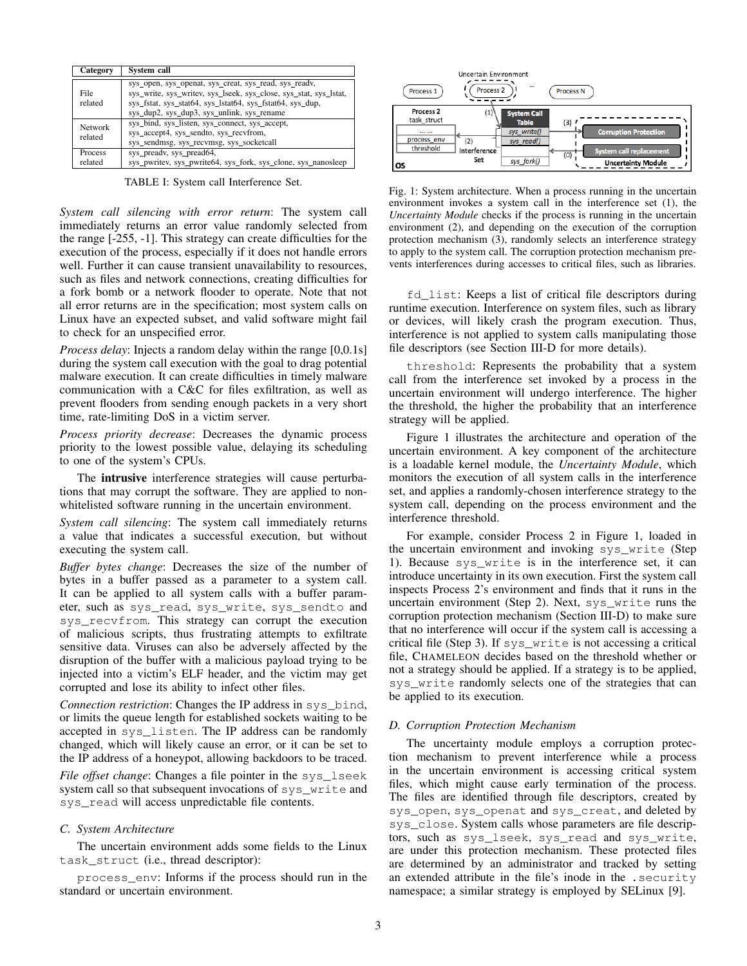| Category                  | System call                                                                                                                                                                                                                           |
|---------------------------|---------------------------------------------------------------------------------------------------------------------------------------------------------------------------------------------------------------------------------------|
| File<br>related           | sys_open, sys_openat, sys_creat, sys_read, sys_ready,<br>sys_write, sys_writev, sys_lseek, sys_close, sys_stat, sys_lstat,<br>sys_fstat, sys_stat64, sys_lstat64, sys_fstat64, sys_dup,<br>sys_dup2, sys_dup3, sys_unlink, sys_rename |
| <b>Network</b><br>related | sys_bind, sys_listen, sys_connect, sys_accept,<br>sys_accept4, sys_sendto, sys_recvfrom,<br>sys_sendmsg, sys_recvmsg, sys_socketcall                                                                                                  |
| Process<br>related        | sys_pready, sys_pread64,<br>sys_pwritev, sys_pwrite64, sys_fork, sys_clone, sys_nanosleep                                                                                                                                             |

TABLE I: System call Interference Set.

*System call silencing with error return*: The system call immediately returns an error value randomly selected from the range [-255, -1]. This strategy can create difficulties for the execution of the process, especially if it does not handle errors well. Further it can cause transient unavailability to resources, such as files and network connections, creating difficulties for a fork bomb or a network flooder to operate. Note that not all error returns are in the specification; most system calls on Linux have an expected subset, and valid software might fail to check for an unspecified error.

*Process delay*: Injects a random delay within the range [0,0.1s] during the system call execution with the goal to drag potential malware execution. It can create difficulties in timely malware communication with a C&C for files exfiltration, as well as prevent flooders from sending enough packets in a very short time, rate-limiting DoS in a victim server.

*Process priority decrease*: Decreases the dynamic process priority to the lowest possible value, delaying its scheduling to one of the system's CPUs.

The intrusive interference strategies will cause perturbations that may corrupt the software. They are applied to nonwhitelisted software running in the uncertain environment.

*System call silencing*: The system call immediately returns a value that indicates a successful execution, but without executing the system call.

*Buffer bytes change*: Decreases the size of the number of bytes in a buffer passed as a parameter to a system call. It can be applied to all system calls with a buffer parameter, such as sys\_read, sys\_write, sys\_sendto and sys\_recvfrom. This strategy can corrupt the execution of malicious scripts, thus frustrating attempts to exfiltrate sensitive data. Viruses can also be adversely affected by the disruption of the buffer with a malicious payload trying to be injected into a victim's ELF header, and the victim may get corrupted and lose its ability to infect other files.

*Connection restriction*: Changes the IP address in sys\_bind, or limits the queue length for established sockets waiting to be accepted in sys\_listen. The IP address can be randomly changed, which will likely cause an error, or it can be set to the IP address of a honeypot, allowing backdoors to be traced.

*File offset change*: Changes a file pointer in the sys lseek system call so that subsequent invocations of sys\_write and sys read will access unpredictable file contents.

#### *C. System Architecture*

The uncertain environment adds some fields to the Linux task\_struct (i.e., thread descriptor):

process\_env: Informs if the process should run in the standard or uncertain environment.

| Process <sub>1</sub>                                                      | <b>Uncertain Environment</b><br><br>Process <sub>2</sub>                                                                        | <b>Process N</b>                                                                                                |
|---------------------------------------------------------------------------|---------------------------------------------------------------------------------------------------------------------------------|-----------------------------------------------------------------------------------------------------------------|
| Process <sub>2</sub><br>task struct<br><br>process env<br>threshold<br>OS | $\left(1\right)$<br><b>System Call</b><br><b>Table</b><br>sys_write()<br>(2)<br>sys_read()<br>Interference<br>Set<br>sys_fork() | $(3)$ $($<br><b>Corruption Protection</b><br><b>System call replacement</b><br>(0)<br><b>Uncertainty Module</b> |

Fig. 1: System architecture. When a process running in the uncertain environment invokes a system call in the interference set (1), the *Uncertainty Module* checks if the process is running in the uncertain environment (2), and depending on the execution of the corruption protection mechanism (3), randomly selects an interference strategy to apply to the system call. The corruption protection mechanism prevents interferences during accesses to critical files, such as libraries.

fd\_list: Keeps a list of critical file descriptors during runtime execution. Interference on system files, such as library or devices, will likely crash the program execution. Thus, interference is not applied to system calls manipulating those file descriptors (see Section III-D for more details).

threshold: Represents the probability that a system call from the interference set invoked by a process in the uncertain environment will undergo interference. The higher the threshold, the higher the probability that an interference strategy will be applied.

Figure 1 illustrates the architecture and operation of the uncertain environment. A key component of the architecture is a loadable kernel module, the *Uncertainty Module*, which monitors the execution of all system calls in the interference set, and applies a randomly-chosen interference strategy to the system call, depending on the process environment and the interference threshold.

For example, consider Process 2 in Figure 1, loaded in the uncertain environment and invoking sys\_write (Step 1). Because sys\_write is in the interference set, it can introduce uncertainty in its own execution. First the system call inspects Process 2's environment and finds that it runs in the uncertain environment (Step 2). Next, sys\_write runs the corruption protection mechanism (Section III-D) to make sure that no interference will occur if the system call is accessing a critical file (Step 3). If sys\_write is not accessing a critical file, CHAMELEON decides based on the threshold whether or not a strategy should be applied. If a strategy is to be applied, sys write randomly selects one of the strategies that can be applied to its execution.

## *D. Corruption Protection Mechanism*

The uncertainty module employs a corruption protection mechanism to prevent interference while a process in the uncertain environment is accessing critical system files, which might cause early termination of the process. The files are identified through file descriptors, created by sys\_open, sys\_openat and sys\_creat, and deleted by sys close. System calls whose parameters are file descriptors, such as sys\_lseek, sys\_read and sys\_write, are under this protection mechanism. These protected files are determined by an administrator and tracked by setting an extended attribute in the file's inode in the .security namespace; a similar strategy is employed by SELinux [9].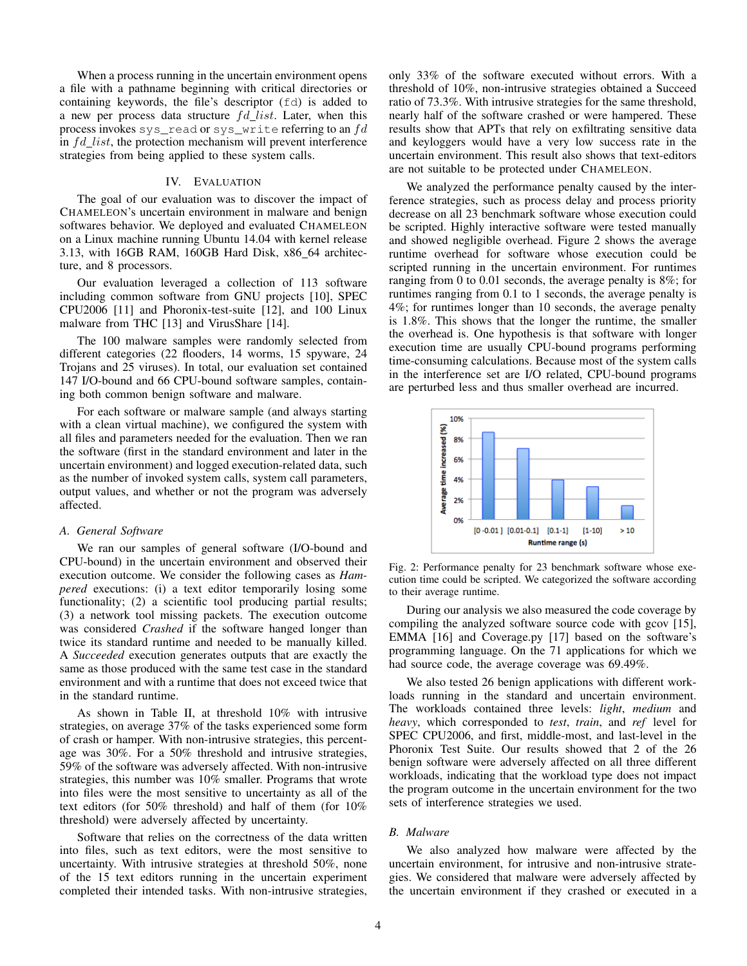When a process running in the uncertain environment opens a file with a pathname beginning with critical directories or containing keywords, the file's descriptor (fd) is added to a new per process data structure  $fd\_list$ . Later, when this process invokes sys read or sys write referring to an  $fd$ in  $fd\_list$ , the protection mechanism will prevent interference strategies from being applied to these system calls.

#### IV. EVALUATION

The goal of our evaluation was to discover the impact of CHAMELEON's uncertain environment in malware and benign softwares behavior. We deployed and evaluated CHAMELEON on a Linux machine running Ubuntu 14.04 with kernel release 3.13, with 16GB RAM, 160GB Hard Disk, x86\_64 architecture, and 8 processors.

Our evaluation leveraged a collection of 113 software including common software from GNU projects [10], SPEC CPU2006 [11] and Phoronix-test-suite [12], and 100 Linux malware from THC [13] and VirusShare [14].

The 100 malware samples were randomly selected from different categories (22 flooders, 14 worms, 15 spyware, 24 Trojans and 25 viruses). In total, our evaluation set contained 147 I/O-bound and 66 CPU-bound software samples, containing both common benign software and malware.

For each software or malware sample (and always starting with a clean virtual machine), we configured the system with all files and parameters needed for the evaluation. Then we ran the software (first in the standard environment and later in the uncertain environment) and logged execution-related data, such as the number of invoked system calls, system call parameters, output values, and whether or not the program was adversely affected.

#### *A. General Software*

We ran our samples of general software (I/O-bound and CPU-bound) in the uncertain environment and observed their execution outcome. We consider the following cases as *Hampered* executions: (i) a text editor temporarily losing some functionality; (2) a scientific tool producing partial results; (3) a network tool missing packets. The execution outcome was considered *Crashed* if the software hanged longer than twice its standard runtime and needed to be manually killed. A *Succeeded* execution generates outputs that are exactly the same as those produced with the same test case in the standard environment and with a runtime that does not exceed twice that in the standard runtime.

As shown in Table II, at threshold 10% with intrusive strategies, on average 37% of the tasks experienced some form of crash or hamper. With non-intrusive strategies, this percentage was 30%. For a 50% threshold and intrusive strategies, 59% of the software was adversely affected. With non-intrusive strategies, this number was 10% smaller. Programs that wrote into files were the most sensitive to uncertainty as all of the text editors (for 50% threshold) and half of them (for 10% threshold) were adversely affected by uncertainty.

Software that relies on the correctness of the data written into files, such as text editors, were the most sensitive to uncertainty. With intrusive strategies at threshold 50%, none of the 15 text editors running in the uncertain experiment completed their intended tasks. With non-intrusive strategies, only 33% of the software executed without errors. With a threshold of 10%, non-intrusive strategies obtained a Succeed ratio of 73.3%. With intrusive strategies for the same threshold, nearly half of the software crashed or were hampered. These results show that APTs that rely on exfiltrating sensitive data and keyloggers would have a very low success rate in the uncertain environment. This result also shows that text-editors are not suitable to be protected under CHAMELEON.

We analyzed the performance penalty caused by the interference strategies, such as process delay and process priority decrease on all 23 benchmark software whose execution could be scripted. Highly interactive software were tested manually and showed negligible overhead. Figure 2 shows the average runtime overhead for software whose execution could be scripted running in the uncertain environment. For runtimes ranging from 0 to 0.01 seconds, the average penalty is 8%; for runtimes ranging from 0.1 to 1 seconds, the average penalty is 4%; for runtimes longer than 10 seconds, the average penalty is 1.8%. This shows that the longer the runtime, the smaller the overhead is. One hypothesis is that software with longer execution time are usually CPU-bound programs performing time-consuming calculations. Because most of the system calls in the interference set are I/O related, CPU-bound programs are perturbed less and thus smaller overhead are incurred.



Fig. 2: Performance penalty for 23 benchmark software whose execution time could be scripted. We categorized the software according to their average runtime.

During our analysis we also measured the code coverage by compiling the analyzed software source code with gcov [15], EMMA [16] and Coverage.py [17] based on the software's programming language. On the 71 applications for which we had source code, the average coverage was 69.49%.

We also tested 26 benign applications with different workloads running in the standard and uncertain environment. The workloads contained three levels: *light*, *medium* and *heavy*, which corresponded to *test*, *train*, and *ref* level for SPEC CPU2006, and first, middle-most, and last-level in the Phoronix Test Suite. Our results showed that 2 of the 26 benign software were adversely affected on all three different workloads, indicating that the workload type does not impact the program outcome in the uncertain environment for the two sets of interference strategies we used.

## *B. Malware*

We also analyzed how malware were affected by the uncertain environment, for intrusive and non-intrusive strategies. We considered that malware were adversely affected by the uncertain environment if they crashed or executed in a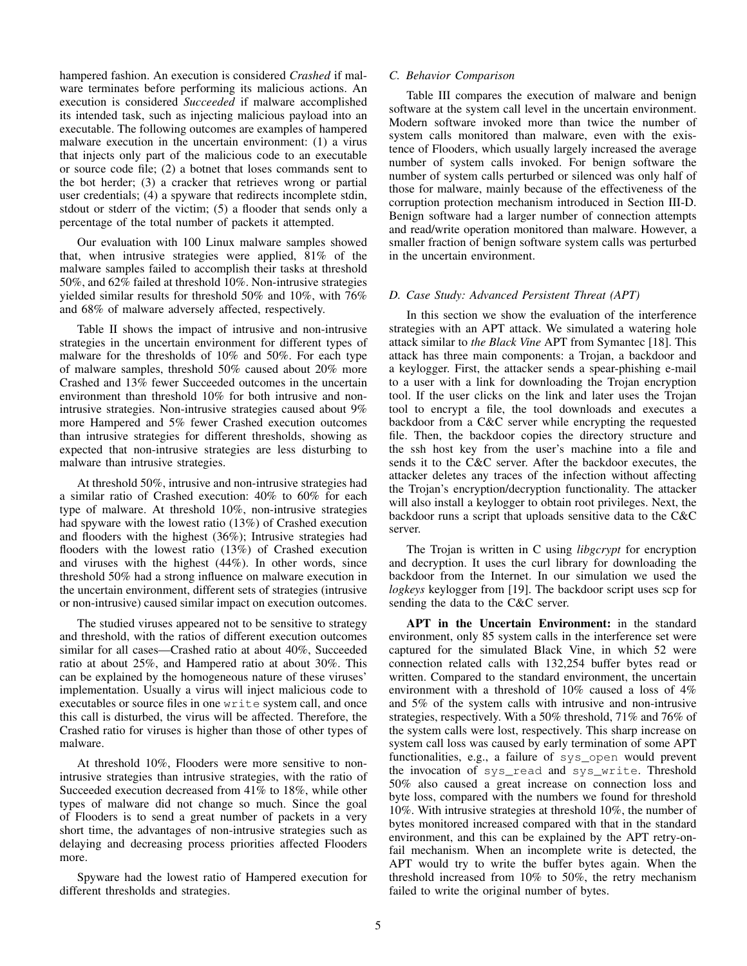hampered fashion. An execution is considered *Crashed* if malware terminates before performing its malicious actions. An execution is considered *Succeeded* if malware accomplished its intended task, such as injecting malicious payload into an executable. The following outcomes are examples of hampered malware execution in the uncertain environment: (1) a virus that injects only part of the malicious code to an executable or source code file; (2) a botnet that loses commands sent to the bot herder; (3) a cracker that retrieves wrong or partial user credentials; (4) a spyware that redirects incomplete stdin, stdout or stderr of the victim; (5) a flooder that sends only a percentage of the total number of packets it attempted.

Our evaluation with 100 Linux malware samples showed that, when intrusive strategies were applied, 81% of the malware samples failed to accomplish their tasks at threshold 50%, and 62% failed at threshold 10%. Non-intrusive strategies yielded similar results for threshold 50% and 10%, with 76% and 68% of malware adversely affected, respectively.

Table II shows the impact of intrusive and non-intrusive strategies in the uncertain environment for different types of malware for the thresholds of 10% and 50%. For each type of malware samples, threshold 50% caused about 20% more Crashed and 13% fewer Succeeded outcomes in the uncertain environment than threshold 10% for both intrusive and nonintrusive strategies. Non-intrusive strategies caused about 9% more Hampered and 5% fewer Crashed execution outcomes than intrusive strategies for different thresholds, showing as expected that non-intrusive strategies are less disturbing to malware than intrusive strategies.

At threshold 50%, intrusive and non-intrusive strategies had a similar ratio of Crashed execution: 40% to 60% for each type of malware. At threshold 10%, non-intrusive strategies had spyware with the lowest ratio (13%) of Crashed execution and flooders with the highest (36%); Intrusive strategies had flooders with the lowest ratio (13%) of Crashed execution and viruses with the highest (44%). In other words, since threshold 50% had a strong influence on malware execution in the uncertain environment, different sets of strategies (intrusive or non-intrusive) caused similar impact on execution outcomes.

The studied viruses appeared not to be sensitive to strategy and threshold, with the ratios of different execution outcomes similar for all cases—Crashed ratio at about 40%, Succeeded ratio at about 25%, and Hampered ratio at about 30%. This can be explained by the homogeneous nature of these viruses' implementation. Usually a virus will inject malicious code to executables or source files in one write system call, and once this call is disturbed, the virus will be affected. Therefore, the Crashed ratio for viruses is higher than those of other types of malware.

At threshold 10%, Flooders were more sensitive to nonintrusive strategies than intrusive strategies, with the ratio of Succeeded execution decreased from 41% to 18%, while other types of malware did not change so much. Since the goal of Flooders is to send a great number of packets in a very short time, the advantages of non-intrusive strategies such as delaying and decreasing process priorities affected Flooders more.

Spyware had the lowest ratio of Hampered execution for different thresholds and strategies.

## *C. Behavior Comparison*

Table III compares the execution of malware and benign software at the system call level in the uncertain environment. Modern software invoked more than twice the number of system calls monitored than malware, even with the existence of Flooders, which usually largely increased the average number of system calls invoked. For benign software the number of system calls perturbed or silenced was only half of those for malware, mainly because of the effectiveness of the corruption protection mechanism introduced in Section III-D. Benign software had a larger number of connection attempts and read/write operation monitored than malware. However, a smaller fraction of benign software system calls was perturbed in the uncertain environment.

# *D. Case Study: Advanced Persistent Threat (APT)*

In this section we show the evaluation of the interference strategies with an APT attack. We simulated a watering hole attack similar to *the Black Vine* APT from Symantec [18]. This attack has three main components: a Trojan, a backdoor and a keylogger. First, the attacker sends a spear-phishing e-mail to a user with a link for downloading the Trojan encryption tool. If the user clicks on the link and later uses the Trojan tool to encrypt a file, the tool downloads and executes a backdoor from a C&C server while encrypting the requested file. Then, the backdoor copies the directory structure and the ssh host key from the user's machine into a file and sends it to the C&C server. After the backdoor executes, the attacker deletes any traces of the infection without affecting the Trojan's encryption/decryption functionality. The attacker will also install a keylogger to obtain root privileges. Next, the backdoor runs a script that uploads sensitive data to the C&C server.

The Trojan is written in C using *libgcrypt* for encryption and decryption. It uses the curl library for downloading the backdoor from the Internet. In our simulation we used the *logkeys* keylogger from [19]. The backdoor script uses scp for sending the data to the C&C server.

APT in the Uncertain Environment: in the standard environment, only 85 system calls in the interference set were captured for the simulated Black Vine, in which 52 were connection related calls with 132,254 buffer bytes read or written. Compared to the standard environment, the uncertain environment with a threshold of 10% caused a loss of 4% and 5% of the system calls with intrusive and non-intrusive strategies, respectively. With a 50% threshold, 71% and 76% of the system calls were lost, respectively. This sharp increase on system call loss was caused by early termination of some APT functionalities, e.g., a failure of sys\_open would prevent the invocation of sys\_read and sys\_write. Threshold 50% also caused a great increase on connection loss and byte loss, compared with the numbers we found for threshold 10%. With intrusive strategies at threshold 10%, the number of bytes monitored increased compared with that in the standard environment, and this can be explained by the APT retry-onfail mechanism. When an incomplete write is detected, the APT would try to write the buffer bytes again. When the threshold increased from 10% to 50%, the retry mechanism failed to write the original number of bytes.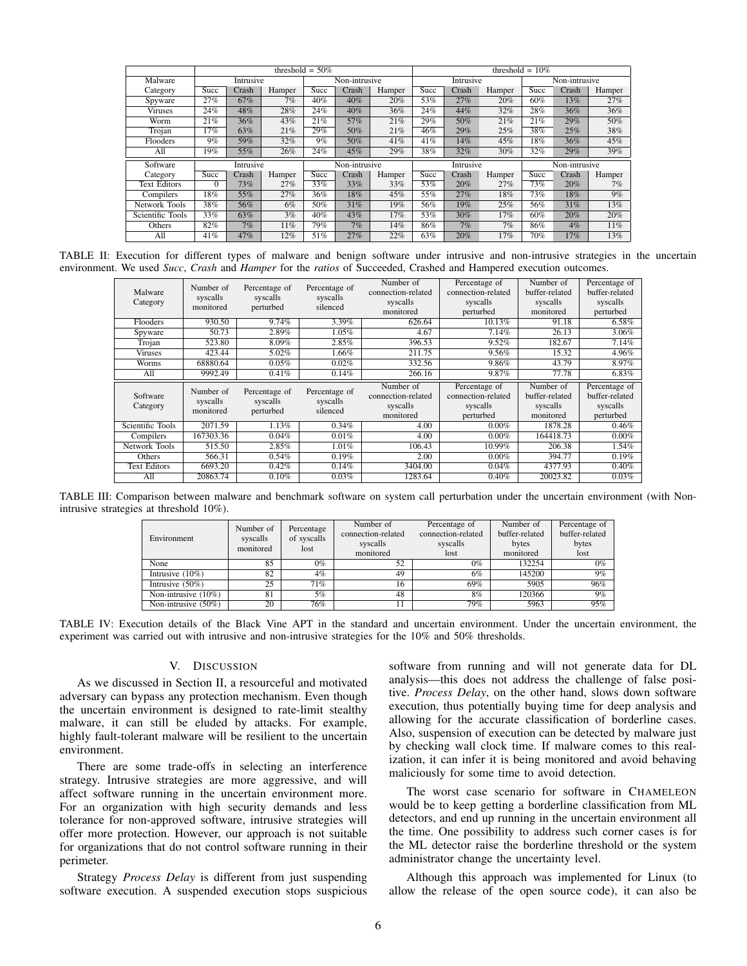|                     | threshold = $50\%$ |       |               |               |           |        | threshold = $10\%$ |       |        |               |        |        |
|---------------------|--------------------|-------|---------------|---------------|-----------|--------|--------------------|-------|--------|---------------|--------|--------|
| Malware             | Intrusive          |       |               | Non-intrusive |           |        | <b>Intrusive</b>   |       |        | Non-intrusive |        |        |
| Category            | <b>Succ</b>        | Crash | Hamper        | <b>Succ</b>   | Crash     | Hamper | <b>Succ</b>        | Crash | Hamper | Succ          | Crash  | Hamper |
| Spyware             | 27%                | 67%   | 7%            | 40%           | 40%       | 20%    | 53%                | 27%   | 20%    | 60%           | 13%    | 27%    |
| Viruses             | 24%                | 48%   | 28%           | 24%           | 40%       | 36%    | 24%                | 44%   | 32%    | 28%           | 36%    | 36%    |
| Worm                | 21%                | 36%   | 43%           | 21%           | 57%       | 21%    | 29%                | 50%   | 21%    | 21%           | 29%    | 50%    |
| Trojan              | 17%                | 63%   | 21%           | 29%           | 50%       | 21%    | 46%                | 29%   | 25%    | 38%           | 25%    | 38%    |
| <b>Flooders</b>     | 9%                 | 59%   | 32%           | 9%            | 50%       | 41%    | 41%                | 14%   | 45%    | 18%           | 36%    | 45%    |
| All                 | 19%                | 55%   | 26%           | 24%           | 45%       | 29%    | 38%                | 32%   | 30%    | 32%           | 29%    | 39%    |
| Software            | Intrusive          |       | Non-intrusive |               | Intrusive |        | Non-intrusive      |       |        |               |        |        |
| Category            | <b>Succ</b>        | Crash | Hamper        | Succ          | Crash     | Hamper | Succ               | Crash | Hamper | Succ          | Crash  | Hamper |
| <b>Text Editors</b> | $\Omega$           | 73%   | 27%           | 33%           | 33%       | 33%    | 53%                | 20%   | 27%    | 73%           | 20%    | 7%     |
| Compilers           | 18%                | 55%   | 27%           | 36%           | 18%       | 45%    | 55%                | 27%   | 18%    | 73%           | $18\%$ | 9%     |
| Network Tools       | 38%                | 56%   | 6%            | 50%           | 31%       | 19%    | 56%                | 19%   | 25%    | 56%           | 31%    | 13%    |
| Scientific Tools    | 33%                | 63%   | 3%            | 40%           | 43%       | 17%    | 53%                | 30%   | 17%    | 60%           | 20%    | 20%    |
| Others              | 82%                | 7%    | 11%           | 79%           | 7%        | 14%    | 86%                | 7%    | 7%     | 86%           | $4\%$  | 11%    |
| All                 | 41%                | 47%   | 12%           | 51%           | 27%       | 22%    | 63%                | 20%   | 17%    | 70%           | 17%    | 13%    |

TABLE II: Execution for different types of malware and benign software under intrusive and non-intrusive strategies in the uncertain environment. We used *Succ*, *Crash* and *Hamper* for the *ratios* of Succeeded, Crashed and Hampered execution outcomes.

| Malware<br>Category  | Number of<br>syscalls<br>monitored | Percentage of<br>syscalls<br>perturbed | Percentage of<br>syscalls<br>silenced | Number of<br>connection-related<br>syscalls<br>monitored | Percentage of<br>connection-related<br>syscalls<br>perturbed | Number of<br>buffer-related<br>syscalls<br>monitored | Percentage of<br>buffer-related<br>syscalls<br>perturbed |
|----------------------|------------------------------------|----------------------------------------|---------------------------------------|----------------------------------------------------------|--------------------------------------------------------------|------------------------------------------------------|----------------------------------------------------------|
| Flooders             | 930.50                             | 9.74%                                  | 3.39%                                 | 626.64                                                   | 10.13%                                                       | 91.18                                                | 6.58%                                                    |
| Spyware              | 50.73                              | 2.89%                                  | 1.05%                                 | 4.67                                                     | 7.14%                                                        | 26.13                                                | 3.06%                                                    |
| Trojan               | 523.80                             | 8.09%                                  | 2.85%                                 | 396.53                                                   | 9.52%                                                        | 182.67                                               | 7.14%                                                    |
| Viruses              | 423.44                             | 5.02%                                  | 1.66%                                 | 211.75                                                   | 9.56%                                                        | 15.32                                                | 4.96%                                                    |
| Worms                | 68880.64                           | $0.05\%$                               | 0.02%                                 | 332.56                                                   | 9.86%                                                        | 43.79                                                | 8.97%                                                    |
| All                  | 9992.49                            | 0.41%                                  | 0.14%                                 | 266.16                                                   | 9.87%                                                        | 77.78                                                | 6.83%                                                    |
|                      |                                    |                                        |                                       |                                                          |                                                              |                                                      |                                                          |
| Software<br>Category | Number of<br>syscalls<br>monitored | Percentage of<br>syscalls<br>perturbed | Percentage of<br>syscalls<br>silenced | Number of<br>connection-related<br>syscalls<br>monitored | Percentage of<br>connection-related<br>syscalls<br>perturbed | Number of<br>buffer-related<br>syscalls<br>monitored | Percentage of<br>buffer-related<br>syscalls<br>perturbed |
| Scientific Tools     | 2071.59                            | 1.13%                                  | 0.34%                                 | 4.00                                                     | $0.00\%$                                                     | 1878.28                                              | 0.46%                                                    |
| Compilers            | 167303.36                          | 0.04%                                  | 0.01%                                 | 4.00                                                     | $0.00\%$                                                     | 164418.73                                            | $0.00\%$                                                 |
| Network Tools        | 515.50                             | 2.85%                                  | $1.01\%$                              | 106.43                                                   | 10.99%                                                       | 206.38                                               | 1.54%                                                    |
| Others               | 566.31                             | $0.54\%$                               | 0.19%                                 | 2.00                                                     | $0.00\%$                                                     | 394.77                                               | 0.19%                                                    |
| <b>Text Editors</b>  | 6693.20                            | $0.42\%$                               | 0.14%                                 | 3404.00                                                  | 0.04%                                                        | 4377.93                                              | 0.40%                                                    |

TABLE III: Comparison between malware and benchmark software on system call perturbation under the uncertain environment (with Nonintrusive strategies at threshold 10%).

| <b>Environment</b>     | Number of<br>syscalls<br>monitored | Percentage<br>of syscalls<br>lost | Number of<br>connection-related<br>syscalls<br>monitored | Percentage of<br>connection-related<br>syscalls<br>lost | Number of<br>buffer-related<br>bytes<br>monitored | Percentage of<br>buffer-related<br>bytes<br>lost |
|------------------------|------------------------------------|-----------------------------------|----------------------------------------------------------|---------------------------------------------------------|---------------------------------------------------|--------------------------------------------------|
| None                   | 85                                 | $0\%$                             | 52                                                       | $0\%$                                                   | 132254                                            | $0\%$                                            |
| Intrusive $(10\%)$     | 82                                 | $4\%$                             | 49                                                       | 6%                                                      | 145200                                            | 9%                                               |
| Intrusive $(50\%)$     | 25                                 | 71%                               | 16                                                       | 69%                                                     | 5905                                              | 96%                                              |
| Non-intrusive $(10\%)$ | 81                                 | 5%                                | 48                                                       | 8%                                                      | 120366                                            | $9\%$                                            |
| Non-intrusive $(50\%)$ | 20                                 | 76%                               |                                                          | 79%                                                     | 5963                                              | 95%                                              |

TABLE IV: Execution details of the Black Vine APT in the standard and uncertain environment. Under the uncertain environment, the experiment was carried out with intrusive and non-intrusive strategies for the 10% and 50% thresholds.

#### V. DISCUSSION

As we discussed in Section II, a resourceful and motivated adversary can bypass any protection mechanism. Even though the uncertain environment is designed to rate-limit stealthy malware, it can still be eluded by attacks. For example, highly fault-tolerant malware will be resilient to the uncertain environment.

There are some trade-offs in selecting an interference strategy. Intrusive strategies are more aggressive, and will affect software running in the uncertain environment more. For an organization with high security demands and less tolerance for non-approved software, intrusive strategies will offer more protection. However, our approach is not suitable for organizations that do not control software running in their perimeter.

Strategy *Process Delay* is different from just suspending software execution. A suspended execution stops suspicious software from running and will not generate data for DL analysis—this does not address the challenge of false positive. *Process Delay*, on the other hand, slows down software execution, thus potentially buying time for deep analysis and allowing for the accurate classification of borderline cases. Also, suspension of execution can be detected by malware just by checking wall clock time. If malware comes to this realization, it can infer it is being monitored and avoid behaving maliciously for some time to avoid detection.

The worst case scenario for software in CHAMELEON would be to keep getting a borderline classification from ML detectors, and end up running in the uncertain environment all the time. One possibility to address such corner cases is for the ML detector raise the borderline threshold or the system administrator change the uncertainty level.

Although this approach was implemented for Linux (to allow the release of the open source code), it can also be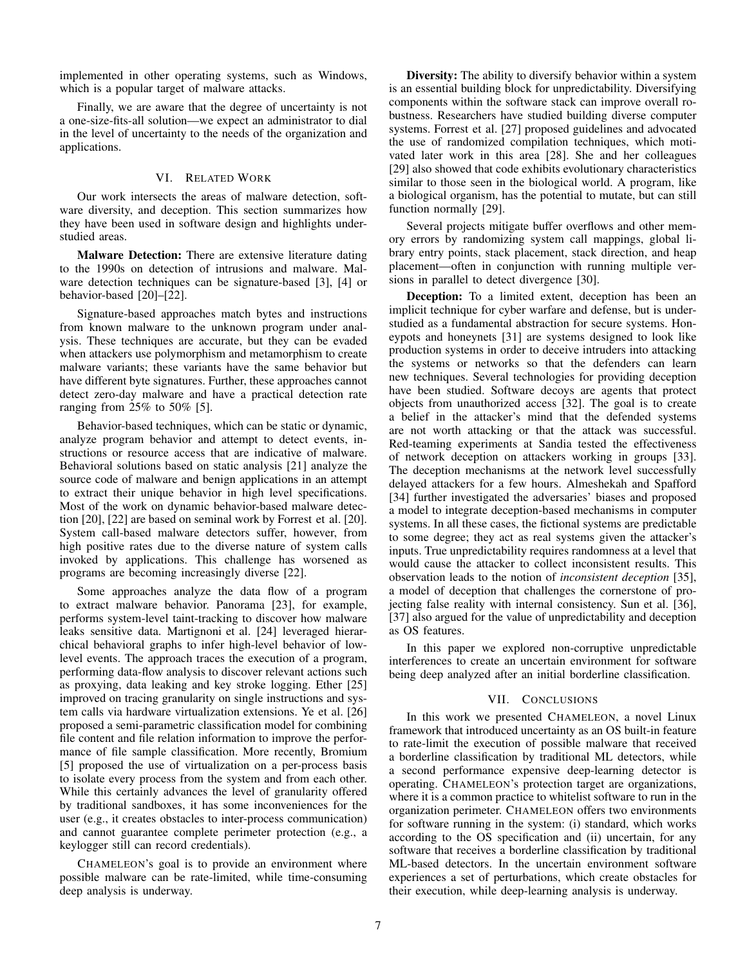implemented in other operating systems, such as Windows, which is a popular target of malware attacks.

Finally, we are aware that the degree of uncertainty is not a one-size-fits-all solution—we expect an administrator to dial in the level of uncertainty to the needs of the organization and applications.

## VI. RELATED WORK

Our work intersects the areas of malware detection, software diversity, and deception. This section summarizes how they have been used in software design and highlights understudied areas.

Malware Detection: There are extensive literature dating to the 1990s on detection of intrusions and malware. Malware detection techniques can be signature-based [3], [4] or behavior-based [20]–[22].

Signature-based approaches match bytes and instructions from known malware to the unknown program under analysis. These techniques are accurate, but they can be evaded when attackers use polymorphism and metamorphism to create malware variants; these variants have the same behavior but have different byte signatures. Further, these approaches cannot detect zero-day malware and have a practical detection rate ranging from 25% to 50% [5].

Behavior-based techniques, which can be static or dynamic, analyze program behavior and attempt to detect events, instructions or resource access that are indicative of malware. Behavioral solutions based on static analysis [21] analyze the source code of malware and benign applications in an attempt to extract their unique behavior in high level specifications. Most of the work on dynamic behavior-based malware detection [20], [22] are based on seminal work by Forrest et al. [20]. System call-based malware detectors suffer, however, from high positive rates due to the diverse nature of system calls invoked by applications. This challenge has worsened as programs are becoming increasingly diverse [22].

Some approaches analyze the data flow of a program to extract malware behavior. Panorama [23], for example, performs system-level taint-tracking to discover how malware leaks sensitive data. Martignoni et al. [24] leveraged hierarchical behavioral graphs to infer high-level behavior of lowlevel events. The approach traces the execution of a program, performing data-flow analysis to discover relevant actions such as proxying, data leaking and key stroke logging. Ether [25] improved on tracing granularity on single instructions and system calls via hardware virtualization extensions. Ye et al. [26] proposed a semi-parametric classification model for combining file content and file relation information to improve the performance of file sample classification. More recently, Bromium [5] proposed the use of virtualization on a per-process basis to isolate every process from the system and from each other. While this certainly advances the level of granularity offered by traditional sandboxes, it has some inconveniences for the user (e.g., it creates obstacles to inter-process communication) and cannot guarantee complete perimeter protection (e.g., a keylogger still can record credentials).

CHAMELEON's goal is to provide an environment where possible malware can be rate-limited, while time-consuming deep analysis is underway.

Diversity: The ability to diversify behavior within a system is an essential building block for unpredictability. Diversifying components within the software stack can improve overall robustness. Researchers have studied building diverse computer systems. Forrest et al. [27] proposed guidelines and advocated the use of randomized compilation techniques, which motivated later work in this area [28]. She and her colleagues [29] also showed that code exhibits evolutionary characteristics similar to those seen in the biological world. A program, like a biological organism, has the potential to mutate, but can still function normally [29].

Several projects mitigate buffer overflows and other memory errors by randomizing system call mappings, global library entry points, stack placement, stack direction, and heap placement—often in conjunction with running multiple versions in parallel to detect divergence [30].

Deception: To a limited extent, deception has been an implicit technique for cyber warfare and defense, but is understudied as a fundamental abstraction for secure systems. Honeypots and honeynets [31] are systems designed to look like production systems in order to deceive intruders into attacking the systems or networks so that the defenders can learn new techniques. Several technologies for providing deception have been studied. Software decoys are agents that protect objects from unauthorized access [32]. The goal is to create a belief in the attacker's mind that the defended systems are not worth attacking or that the attack was successful. Red-teaming experiments at Sandia tested the effectiveness of network deception on attackers working in groups [33]. The deception mechanisms at the network level successfully delayed attackers for a few hours. Almeshekah and Spafford [34] further investigated the adversaries' biases and proposed a model to integrate deception-based mechanisms in computer systems. In all these cases, the fictional systems are predictable to some degree; they act as real systems given the attacker's inputs. True unpredictability requires randomness at a level that would cause the attacker to collect inconsistent results. This observation leads to the notion of *inconsistent deception* [35], a model of deception that challenges the cornerstone of projecting false reality with internal consistency. Sun et al. [36], [37] also argued for the value of unpredictability and deception as OS features.

In this paper we explored non-corruptive unpredictable interferences to create an uncertain environment for software being deep analyzed after an initial borderline classification.

#### VII. CONCLUSIONS

In this work we presented CHAMELEON, a novel Linux framework that introduced uncertainty as an OS built-in feature to rate-limit the execution of possible malware that received a borderline classification by traditional ML detectors, while a second performance expensive deep-learning detector is operating. CHAMELEON's protection target are organizations, where it is a common practice to whitelist software to run in the organization perimeter. CHAMELEON offers two environments for software running in the system: (i) standard, which works according to the OS specification and (ii) uncertain, for any software that receives a borderline classification by traditional ML-based detectors. In the uncertain environment software experiences a set of perturbations, which create obstacles for their execution, while deep-learning analysis is underway.